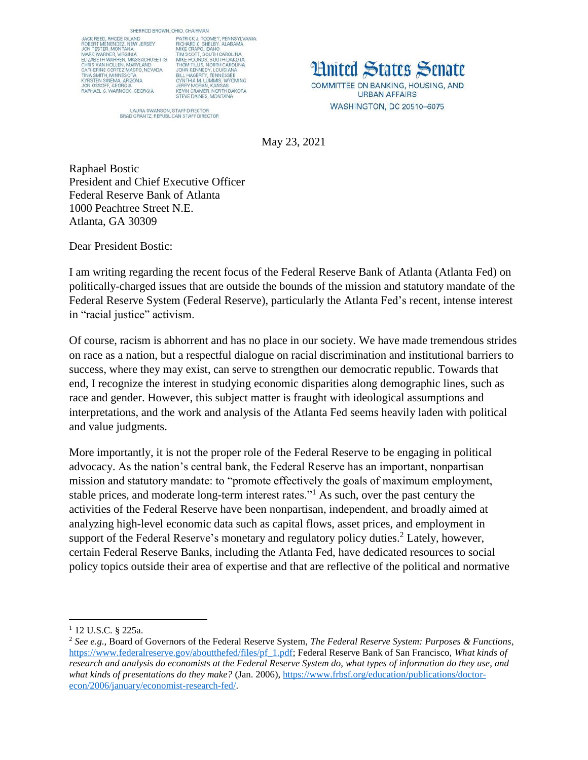SHERROD BROWN, OHIO, CHAIRMAN



PHO, CHAIRMAN<br>PATRICK J. TOOMEY, PENNSYLVANIA<br>RICHARD C. SHELBY, ALABAMA<br>MIKE CRAPO, IDAHO<br>TIM SCOTT, SOUTH CAROLINA<br>TIM SCOTT, SOUTH CAROLINA<br>JHL HAGERTY, LOUISIANA<br>JOHN KENNEDY, LOUISIANA<br>CHAIRMEY, LOUISIANA<br>CYNTHIA M. L

LAURA SWANSON, STAFF DIRECTOR<br>BRAD GRANTZ, REPUBLICAN STAFF DIRECTOR

**Hnited States Senate** COMMITTEE ON BANKING, HOUSING, AND **URBAN AFFAIRS** WASHINGTON, DC 20510-6075

May 23, 2021

Raphael Bostic President and Chief Executive Officer Federal Reserve Bank of Atlanta 1000 Peachtree Street N.E. Atlanta, GA 30309

Dear President Bostic:

I am writing regarding the recent focus of the Federal Reserve Bank of Atlanta (Atlanta Fed) on politically-charged issues that are outside the bounds of the mission and statutory mandate of the Federal Reserve System (Federal Reserve), particularly the Atlanta Fed's recent, intense interest in "racial justice" activism.

Of course, racism is abhorrent and has no place in our society. We have made tremendous strides on race as a nation, but a respectful dialogue on racial discrimination and institutional barriers to success, where they may exist, can serve to strengthen our democratic republic. Towards that end, I recognize the interest in studying economic disparities along demographic lines, such as race and gender. However, this subject matter is fraught with ideological assumptions and interpretations, and the work and analysis of the Atlanta Fed seems heavily laden with political and value judgments.

More importantly, it is not the proper role of the Federal Reserve to be engaging in political advocacy. As the nation's central bank, the Federal Reserve has an important, nonpartisan mission and statutory mandate: to "promote effectively the goals of maximum employment, stable prices, and moderate long-term interest rates."<sup>1</sup> As such, over the past century the activities of the Federal Reserve have been nonpartisan, independent, and broadly aimed at analyzing high-level economic data such as capital flows, asset prices, and employment in support of the Federal Reserve's monetary and regulatory policy duties.<sup>2</sup> Lately, however, certain Federal Reserve Banks, including the Atlanta Fed, have dedicated resources to social policy topics outside their area of expertise and that are reflective of the political and normative

 $\overline{\phantom{a}}$ 

<sup>1</sup> 12 U.S.C. § 225a.

<sup>2</sup> *See e.g.*, Board of Governors of the Federal Reserve System, *The Federal Reserve System: Purposes & Functions*, [https://www.federalreserve.gov/aboutthefed/files/pf\\_1.pdf;](https://www.federalreserve.gov/aboutthefed/files/pf_1.pdf) Federal Reserve Bank of San Francisco, *What kinds of research and analysis do economists at the Federal Reserve System do, what types of information do they use, and what kinds of presentations do they make?* (Jan. 2006)[, https://www.frbsf.org/education/publications/doctor](https://www.frbsf.org/education/publications/doctor-econ/2006/january/economist-research-fed/)[econ/2006/january/economist-research-fed/.](https://www.frbsf.org/education/publications/doctor-econ/2006/january/economist-research-fed/)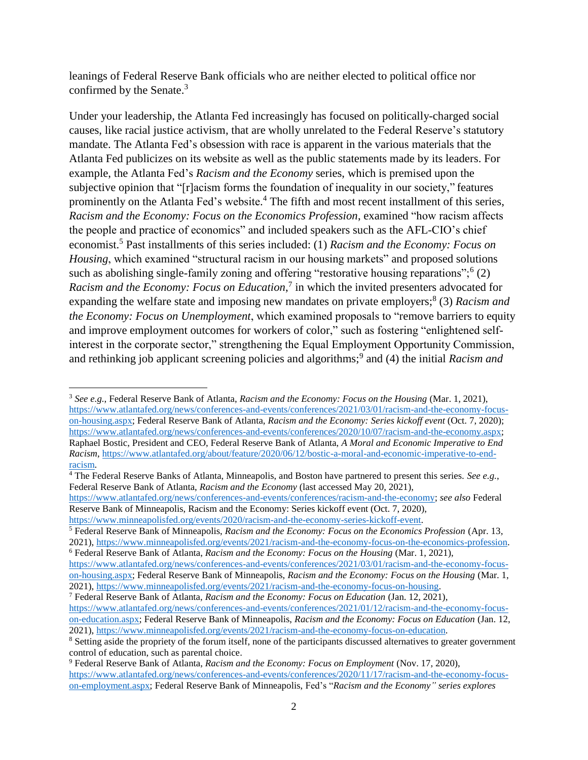leanings of Federal Reserve Bank officials who are neither elected to political office nor confirmed by the Senate.<sup>3</sup>

Under your leadership, the Atlanta Fed increasingly has focused on politically-charged social causes, like racial justice activism, that are wholly unrelated to the Federal Reserve's statutory mandate. The Atlanta Fed's obsession with race is apparent in the various materials that the Atlanta Fed publicizes on its website as well as the public statements made by its leaders. For example, the Atlanta Fed's *Racism and the Economy* series, which is premised upon the subjective opinion that "[r]acism forms the foundation of inequality in our society," features prominently on the Atlanta Fed's website.<sup>4</sup> The fifth and most recent installment of this series, *Racism and the Economy: Focus on the Economics Profession*, examined "how racism affects the people and practice of economics" and included speakers such as the AFL-CIO's chief economist.<sup>5</sup> Past installments of this series included: (1) *Racism and the Economy: Focus on Housing*, which examined "structural racism in our housing markets" and proposed solutions such as abolishing single-family zoning and offering "restorative housing reparations";<sup>6</sup> (2) Racism and the Economy: Focus on Education,<sup>7</sup> in which the invited presenters advocated for expanding the welfare state and imposing new mandates on private employers; 8 (3) *Racism and the Economy: Focus on Unemployment*, which examined proposals to "remove barriers to equity and improve employment outcomes for workers of color," such as fostering "enlightened selfinterest in the corporate sector," strengthening the Equal Employment Opportunity Commission, and rethinking job applicant screening policies and algorithms;<sup>9</sup> and (4) the initial *Racism and* 

 $\overline{\phantom{a}}$ <sup>3</sup> *See e.g.*, Federal Reserve Bank of Atlanta, *Racism and the Economy: Focus on the Housing* (Mar. 1, 2021), [https://www.atlantafed.org/news/conferences-and-events/conferences/2021/03/01/racism-and-the-economy-focus](https://www.atlantafed.org/news/conferences-and-events/conferences/2021/03/01/racism-and-the-economy-focus-on-housing.aspx)[on-housing.aspx;](https://www.atlantafed.org/news/conferences-and-events/conferences/2021/03/01/racism-and-the-economy-focus-on-housing.aspx) Federal Reserve Bank of Atlanta, *Racism and the Economy: Series kickoff event* (Oct. 7, 2020); [https://www.atlantafed.org/news/conferences-and-events/conferences/2020/10/07/racism-and-the-economy.aspx;](https://www.atlantafed.org/news/conferences-and-events/conferences/2020/10/07/racism-and-the-economy.aspx) Raphael Bostic, President and CEO, Federal Reserve Bank of Atlanta, *A Moral and Economic Imperative to End Racism*, [https://www.atlantafed.org/about/feature/2020/06/12/bostic-a-moral-and-economic-imperative-to-end](https://www.atlantafed.org/about/feature/2020/06/12/bostic-a-moral-and-economic-imperative-to-end-racism)[racism.](https://www.atlantafed.org/about/feature/2020/06/12/bostic-a-moral-and-economic-imperative-to-end-racism)

<sup>&</sup>lt;sup>4</sup> The Federal Reserve Banks of Atlanta, Minneapolis, and Boston have partnered to present this series. *See e.g.*, Federal Reserve Bank of Atlanta, *Racism and the Economy* (last accessed May 20, 2021),

[https://www.atlantafed.org/news/conferences-and-events/conferences/racism-and-the-economy;](https://www.atlantafed.org/news/conferences-and-events/conferences/racism-and-the-economy) *see also* Federal Reserve Bank of Minneapolis, Racism and the Economy: Series kickoff event (Oct. 7, 2020),

[https://www.minneapolisfed.org/events/2020/racism-and-the-economy-series-kickoff-event.](https://www.minneapolisfed.org/events/2020/racism-and-the-economy-series-kickoff-event)

<sup>5</sup> Federal Reserve Bank of Minneapolis, *Racism and the Economy: Focus on the Economics Profession* (Apr. 13, 2021), [https://www.minneapolisfed.org/events/2021/racism-and-the-economy-focus-on-the-economics-profession.](https://www.minneapolisfed.org/events/2021/racism-and-the-economy-focus-on-the-economics-profession) <sup>6</sup> Federal Reserve Bank of Atlanta, *Racism and the Economy: Focus on the Housing* (Mar. 1, 2021),

[https://www.atlantafed.org/news/conferences-and-events/conferences/2021/03/01/racism-and-the-economy-focus](https://www.atlantafed.org/news/conferences-and-events/conferences/2021/03/01/racism-and-the-economy-focus-on-housing.aspx)[on-housing.aspx;](https://www.atlantafed.org/news/conferences-and-events/conferences/2021/03/01/racism-and-the-economy-focus-on-housing.aspx) Federal Reserve Bank of Minneapolis, *Racism and the Economy: Focus on the Housing* (Mar. 1, 2021), [https://www.minneapolisfed.org/events/2021/racism-and-the-economy-focus-on-housing.](https://www.minneapolisfed.org/events/2021/racism-and-the-economy-focus-on-housing)

<sup>7</sup> Federal Reserve Bank of Atlanta, *Racism and the Economy: Focus on Education* (Jan. 12, 2021),

[https://www.atlantafed.org/news/conferences-and-events/conferences/2021/01/12/racism-and-the-economy-focus](https://www.atlantafed.org/news/conferences-and-events/conferences/2021/01/12/racism-and-the-economy-focus-on-education.aspx)[on-education.aspx;](https://www.atlantafed.org/news/conferences-and-events/conferences/2021/01/12/racism-and-the-economy-focus-on-education.aspx) Federal Reserve Bank of Minneapolis, *Racism and the Economy: Focus on Education* (Jan. 12, 2021), [https://www.minneapolisfed.org/events/2021/racism-and-the-economy-focus-on-education.](https://www.minneapolisfed.org/events/2021/racism-and-the-economy-focus-on-education)

<sup>&</sup>lt;sup>8</sup> Setting aside the propriety of the forum itself, none of the participants discussed alternatives to greater government control of education, such as parental choice.

<sup>9</sup> Federal Reserve Bank of Atlanta, *Racism and the Economy: Focus on Employment* (Nov. 17, 2020), [https://www.atlantafed.org/news/conferences-and-events/conferences/2020/11/17/racism-and-the-economy-focus](https://www.atlantafed.org/news/conferences-and-events/conferences/2020/11/17/racism-and-the-economy-focus-on-employment.aspx)[on-employment.aspx;](https://www.atlantafed.org/news/conferences-and-events/conferences/2020/11/17/racism-and-the-economy-focus-on-employment.aspx) Federal Reserve Bank of Minneapolis, Fed's "*Racism and the Economy" series explores*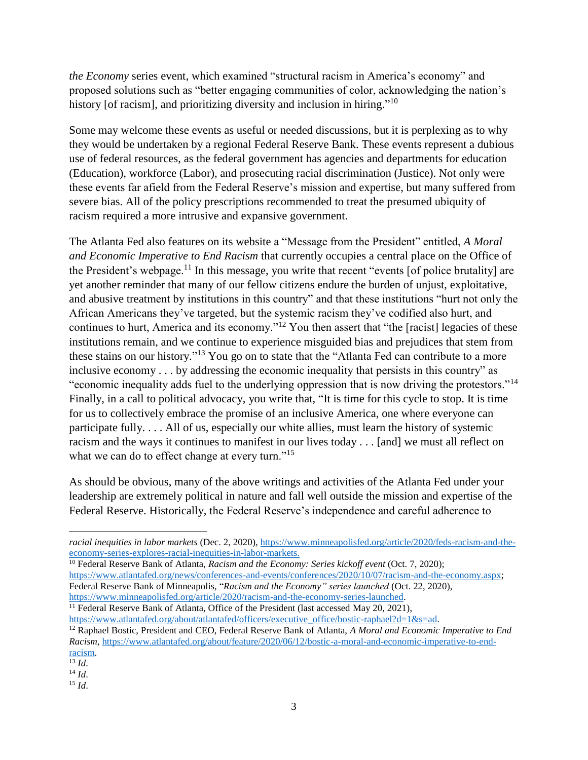*the Economy* series event, which examined "structural racism in America's economy" and proposed solutions such as "better engaging communities of color, acknowledging the nation's history [of racism], and prioritizing diversity and inclusion in hiring."<sup>10</sup>

Some may welcome these events as useful or needed discussions, but it is perplexing as to why they would be undertaken by a regional Federal Reserve Bank. These events represent a dubious use of federal resources, as the federal government has agencies and departments for education (Education), workforce (Labor), and prosecuting racial discrimination (Justice). Not only were these events far afield from the Federal Reserve's mission and expertise, but many suffered from severe bias. All of the policy prescriptions recommended to treat the presumed ubiquity of racism required a more intrusive and expansive government.

The Atlanta Fed also features on its website a "Message from the President" entitled, *A Moral and Economic Imperative to End Racism* that currently occupies a central place on the Office of the President's webpage.<sup>11</sup> In this message, you write that recent "events [of police brutality] are yet another reminder that many of our fellow citizens endure the burden of unjust, exploitative, and abusive treatment by institutions in this country" and that these institutions "hurt not only the African Americans they've targeted, but the systemic racism they've codified also hurt, and continues to hurt, America and its economy."<sup>12</sup> You then assert that "the [racist] legacies of these institutions remain, and we continue to experience misguided bias and prejudices that stem from these stains on our history."<sup>13</sup> You go on to state that the "Atlanta Fed can contribute to a more inclusive economy . . . by addressing the economic inequality that persists in this country" as "economic inequality adds fuel to the underlying oppression that is now driving the protestors."<sup>14</sup> Finally, in a call to political advocacy, you write that, "It is time for this cycle to stop. It is time for us to collectively embrace the promise of an inclusive America, one where everyone can participate fully. . . . All of us, especially our white allies, must learn the history of systemic racism and the ways it continues to manifest in our lives today . . . [and] we must all reflect on what we can do to effect change at every turn."<sup>15</sup>

As should be obvious, many of the above writings and activities of the Atlanta Fed under your leadership are extremely political in nature and fall well outside the mission and expertise of the Federal Reserve. Historically, the Federal Reserve's independence and careful adherence to

<sup>10</sup> Federal Reserve Bank of Atlanta, *Racism and the Economy: Series kickoff event* (Oct. 7, 2020); [https://www.atlantafed.org/news/conferences-and-events/conferences/2020/10/07/racism-and-the-economy.aspx;](https://www.atlantafed.org/news/conferences-and-events/conferences/2020/10/07/racism-and-the-economy.aspx) Federal Reserve Bank of Minneapolis, "*Racism and the Economy" series launched* (Oct. 22, 2020), [https://www.minneapolisfed.org/article/2020/racism-and-the-economy-series-launched.](https://www.minneapolisfed.org/article/2020/racism-and-the-economy-series-launched)

<sup>11</sup> Federal Reserve Bank of Atlanta, Office of the President (last accessed May 20, 2021),

https://www.atlantafed.org/about/atlantafed/officers/executive\_office/bostic-raphael?d=1&s=ad. <sup>12</sup> Raphael Bostic, President and CEO, Federal Reserve Bank of Atlanta, *A Moral and Economic Imperative to End Racism*, [https://www.atlantafed.org/about/feature/2020/06/12/bostic-a-moral-and-economic-imperative-to-end](https://www.atlantafed.org/about/feature/2020/06/12/bostic-a-moral-and-economic-imperative-to-end-racism)[racism.](https://www.atlantafed.org/about/feature/2020/06/12/bostic-a-moral-and-economic-imperative-to-end-racism)

 $\overline{a}$ 

*racial inequities in labor markets* (Dec. 2, 2020), [https://www.minneapolisfed.org/article/2020/feds-racism-and-the](https://www.minneapolisfed.org/article/2020/feds-racism-and-the-economy-series-explores-racial-inequities-in-labor-markets)[economy-series-explores-racial-inequities-in-labor-markets.](https://www.minneapolisfed.org/article/2020/feds-racism-and-the-economy-series-explores-racial-inequities-in-labor-markets)

 $\overline{^{13}$  *Id.* 

<sup>14</sup> *Id*.

<sup>15</sup> *Id*.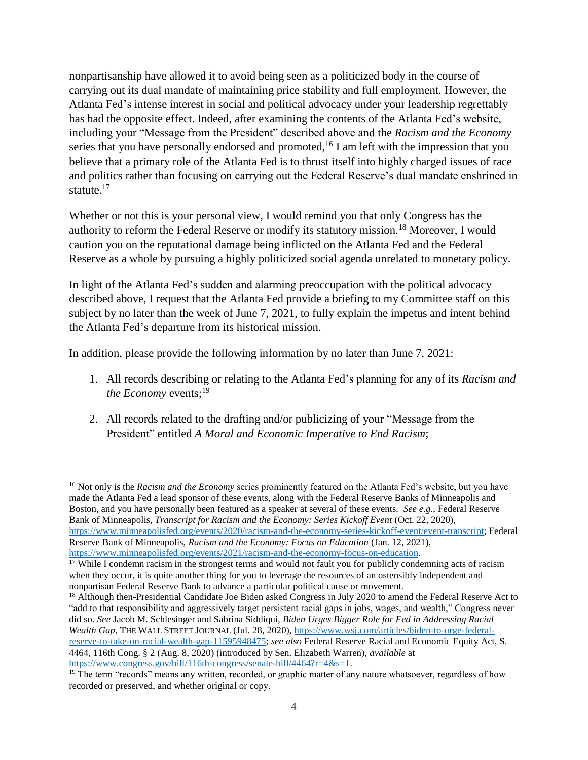nonpartisanship have allowed it to avoid being seen as a politicized body in the course of carrying out its dual mandate of maintaining price stability and full employment. However, the Atlanta Fed's intense interest in social and political advocacy under your leadership regrettably has had the opposite effect. Indeed, after examining the contents of the Atlanta Fed's website, including your "Message from the President" described above and the *Racism and the Economy* series that you have personally endorsed and promoted, <sup>16</sup> I am left with the impression that you believe that a primary role of the Atlanta Fed is to thrust itself into highly charged issues of race and politics rather than focusing on carrying out the Federal Reserve's dual mandate enshrined in statute.<sup>17</sup>

Whether or not this is your personal view, I would remind you that only Congress has the authority to reform the Federal Reserve or modify its statutory mission.<sup>18</sup> Moreover, I would caution you on the reputational damage being inflicted on the Atlanta Fed and the Federal Reserve as a whole by pursuing a highly politicized social agenda unrelated to monetary policy.

In light of the Atlanta Fed's sudden and alarming preoccupation with the political advocacy described above, I request that the Atlanta Fed provide a briefing to my Committee staff on this subject by no later than the week of June 7, 2021, to fully explain the impetus and intent behind the Atlanta Fed's departure from its historical mission.

In addition, please provide the following information by no later than June 7, 2021:

- 1. All records describing or relating to the Atlanta Fed's planning for any of its *Racism and the Economy* events:<sup>19</sup>
- 2. All records related to the drafting and/or publicizing of your "Message from the President" entitled *A Moral and Economic Imperative to End Racism*;

<sup>16</sup> Not only is the *Racism and the Economy* series prominently featured on the Atlanta Fed's website, but you have made the Atlanta Fed a lead sponsor of these events, along with the Federal Reserve Banks of Minneapolis and Boston, and you have personally been featured as a speaker at several of these events. *See e.g*., Federal Reserve Bank of Minneapolis, *Transcript for Racism and the Economy: Series Kickoff Event* (Oct. 22, 2020), [https://www.minneapolisfed.org/events/2020/racism-and-the-economy-series-kickoff-event/event-transcript;](https://www.minneapolisfed.org/events/2020/racism-and-the-economy-series-kickoff-event/event-transcript) Federal Reserve Bank of Minneapolis, *Racism and the Economy: Focus on Education* (Jan. 12, 2021), [https://www.minneapolisfed.org/events/2021/racism-and-the-economy-focus-on-education.](https://www.minneapolisfed.org/events/2021/racism-and-the-economy-focus-on-education)

 $\overline{\phantom{a}}$ 

<sup>18</sup> Although then-Presidential Candidate Joe Biden asked Congress in July 2020 to amend the Federal Reserve Act to "add to that responsibility and aggressively target persistent racial gaps in jobs, wages, and wealth," Congress never did so. *See* Jacob M. Schlesinger and Sabrina Siddiqui, *Biden Urges Bigger Role for Fed in Addressing Racial Wealth Gap*, THE WALL STREET JOURNAL (Jul. 28, 2020), [https://www.wsj.com/articles/biden-to-urge-federal](https://www.wsj.com/articles/biden-to-urge-federal-reserve-to-take-on-racial-wealth-gap-11595948475)[reserve-to-take-on-racial-wealth-gap-11595948475;](https://www.wsj.com/articles/biden-to-urge-federal-reserve-to-take-on-racial-wealth-gap-11595948475) *see also* Federal Reserve Racial and Economic Equity Act, S. 4464, 116th Cong. § 2 (Aug. 8, 2020) (introduced by Sen. Elizabeth Warren), *available* at [https://www.congress.gov/bill/116th-congress/senate-bill/4464?r=4&s=1.](https://www.congress.gov/bill/116th-congress/senate-bill/4464?r=4&s=1)

<sup>&</sup>lt;sup>17</sup> While I condemn racism in the strongest terms and would not fault you for publicly condemning acts of racism

when they occur, it is quite another thing for you to leverage the resources of an ostensibly independent and nonpartisan Federal Reserve Bank to advance a particular political cause or movement.

 $19$  The term "records" means any written, recorded, or graphic matter of any nature whatsoever, regardless of how recorded or preserved, and whether original or copy.